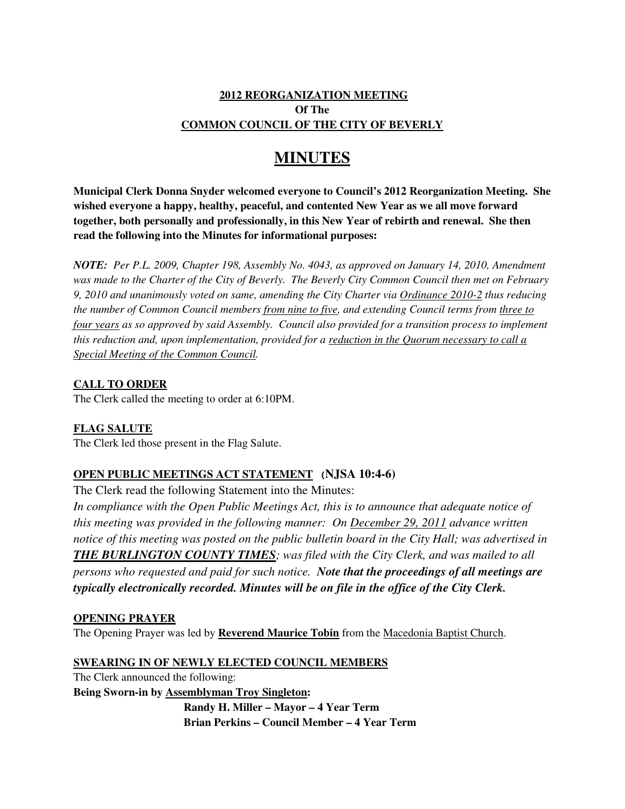## **2012 REORGANIZATION MEETING Of The COMMON COUNCIL OF THE CITY OF BEVERLY**

# **MINUTES**

**Municipal Clerk Donna Snyder welcomed everyone to Council's 2012 Reorganization Meeting. She wished everyone a happy, healthy, peaceful, and contented New Year as we all move forward together, both personally and professionally, in this New Year of rebirth and renewal. She then read the following into the Minutes for informational purposes:** 

*NOTE: Per P.L. 2009, Chapter 198, Assembly No. 4043, as approved on January 14, 2010, Amendment was made to the Charter of the City of Beverly. The Beverly City Common Council then met on February 9, 2010 and unanimously voted on same, amending the City Charter via Ordinance 2010-2 thus reducing the number of Common Council members from nine to five, and extending Council terms from three to four years as so approved by said Assembly. Council also provided for a transition process to implement this reduction and, upon implementation, provided for a reduction in the Quorum necessary to call a Special Meeting of the Common Council.* 

## **CALL TO ORDER**

The Clerk called the meeting to order at 6:10PM.

**FLAG SALUTE** The Clerk led those present in the Flag Salute.

# **OPEN PUBLIC MEETINGS ACT STATEMENT (NJSA 10:4-6)**

The Clerk read the following Statement into the Minutes:

*In compliance with the Open Public Meetings Act, this is to announce that adequate notice of this meeting was provided in the following manner: On December 29, 2011 advance written notice of this meeting was posted on the public bulletin board in the City Hall; was advertised in THE BURLINGTON COUNTY TIMES; was filed with the City Clerk, and was mailed to all persons who requested and paid for such notice. Note that the proceedings of all meetings are typically electronically recorded. Minutes will be on file in the office of the City Clerk.*

## **OPENING PRAYER**

The Opening Prayer was led by **Reverend Maurice Tobin** from the Macedonia Baptist Church.

## **SWEARING IN OF NEWLY ELECTED COUNCIL MEMBERS**

The Clerk announced the following: **Being Sworn-in by Assemblyman Troy Singleton: Randy H. Miller – Mayor – 4 Year Term Brian Perkins – Council Member – 4 Year Term**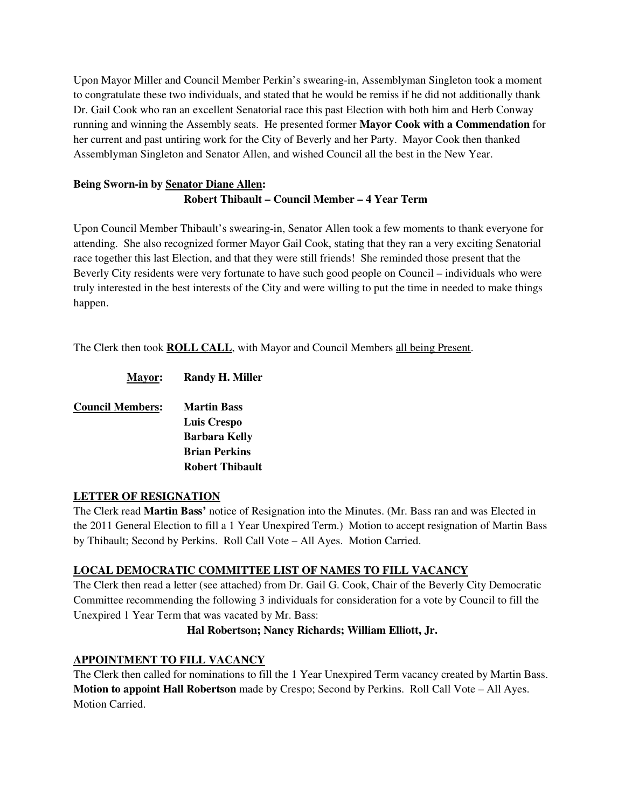Upon Mayor Miller and Council Member Perkin's swearing-in, Assemblyman Singleton took a moment to congratulate these two individuals, and stated that he would be remiss if he did not additionally thank Dr. Gail Cook who ran an excellent Senatorial race this past Election with both him and Herb Conway running and winning the Assembly seats. He presented former **Mayor Cook with a Commendation** for her current and past untiring work for the City of Beverly and her Party. Mayor Cook then thanked Assemblyman Singleton and Senator Allen, and wished Council all the best in the New Year.

# **Being Sworn-in by Senator Diane Allen: Robert Thibault – Council Member – 4 Year Term**

Upon Council Member Thibault's swearing-in, Senator Allen took a few moments to thank everyone for attending. She also recognized former Mayor Gail Cook, stating that they ran a very exciting Senatorial race together this last Election, and that they were still friends! She reminded those present that the Beverly City residents were very fortunate to have such good people on Council – individuals who were truly interested in the best interests of the City and were willing to put the time in needed to make things happen.

The Clerk then took **ROLL CALL**, with Mayor and Council Members all being Present.

| <b>Mayor:</b>           | <b>Randy H. Miller</b> |
|-------------------------|------------------------|
| <b>Council Members:</b> | <b>Martin Bass</b>     |
|                         | <b>Luis Crespo</b>     |
|                         | <b>Barbara Kelly</b>   |
|                         | <b>Brian Perkins</b>   |
|                         | <b>Robert Thibault</b> |

## **LETTER OF RESIGNATION**

The Clerk read **Martin Bass'** notice of Resignation into the Minutes. (Mr. Bass ran and was Elected in the 2011 General Election to fill a 1 Year Unexpired Term.) Motion to accept resignation of Martin Bass by Thibault; Second by Perkins. Roll Call Vote – All Ayes. Motion Carried.

## **LOCAL DEMOCRATIC COMMITTEE LIST OF NAMES TO FILL VACANCY**

The Clerk then read a letter (see attached) from Dr. Gail G. Cook, Chair of the Beverly City Democratic Committee recommending the following 3 individuals for consideration for a vote by Council to fill the Unexpired 1 Year Term that was vacated by Mr. Bass:

## **Hal Robertson; Nancy Richards; William Elliott, Jr.**

## **APPOINTMENT TO FILL VACANCY**

The Clerk then called for nominations to fill the 1 Year Unexpired Term vacancy created by Martin Bass. **Motion to appoint Hall Robertson** made by Crespo; Second by Perkins. Roll Call Vote – All Ayes. Motion Carried.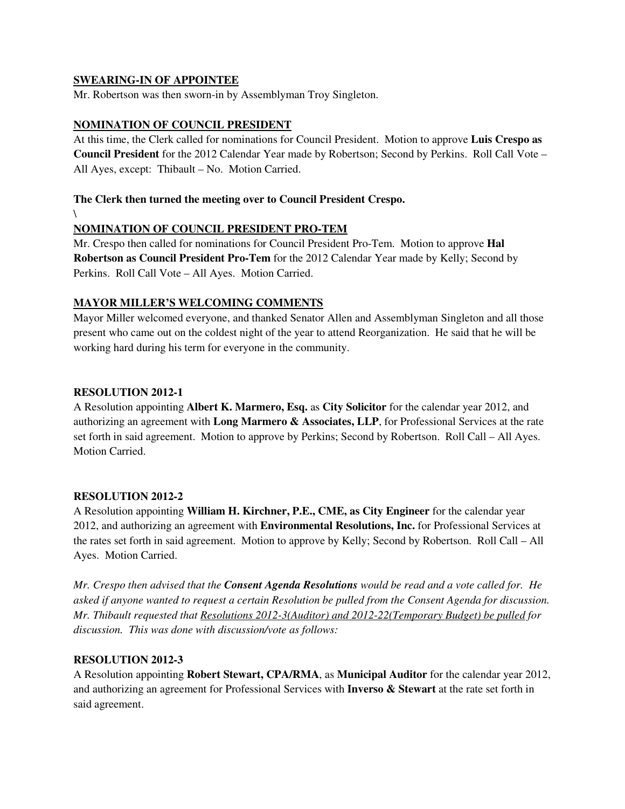#### **SWEARING-IN OF APPOINTEE**

Mr. Robertson was then sworn-in by Assemblyman Troy Singleton.

#### **NOMINATION OF COUNCIL PRESIDENT**

At this time, the Clerk called for nominations for Council President. Motion to approve **Luis Crespo as Council President** for the 2012 Calendar Year made by Robertson; Second by Perkins. Roll Call Vote – All Ayes, except: Thibault – No. Motion Carried.

## **The Clerk then turned the meeting over to Council President Crespo.**

 $\sqrt{2}$ 

## **NOMINATION OF COUNCIL PRESIDENT PRO-TEM**

Mr. Crespo then called for nominations for Council President Pro-Tem. Motion to approve **Hal Robertson as Council President Pro-Tem** for the 2012 Calendar Year made by Kelly; Second by Perkins. Roll Call Vote – All Ayes. Motion Carried.

## **MAYOR MILLER'S WELCOMING COMMENTS**

Mayor Miller welcomed everyone, and thanked Senator Allen and Assemblyman Singleton and all those present who came out on the coldest night of the year to attend Reorganization. He said that he will be working hard during his term for everyone in the community.

#### **RESOLUTION 2012-1**

A Resolution appointing **Albert K. Marmero, Esq.** as **City Solicitor** for the calendar year 2012, and authorizing an agreement with **Long Marmero & Associates, LLP**, for Professional Services at the rate set forth in said agreement. Motion to approve by Perkins; Second by Robertson. Roll Call – All Ayes. Motion Carried.

## **RESOLUTION 2012-2**

A Resolution appointing **William H. Kirchner, P.E., CME, as City Engineer** for the calendar year 2012, and authorizing an agreement with **Environmental Resolutions, Inc.** for Professional Services at the rates set forth in said agreement. Motion to approve by Kelly; Second by Robertson. Roll Call – All Ayes. Motion Carried.

*Mr. Crespo then advised that the Consent Agenda Resolutions would be read and a vote called for. He asked if anyone wanted to request a certain Resolution be pulled from the Consent Agenda for discussion. Mr. Thibault requested that Resolutions 2012-3(Auditor) and 2012-22(Temporary Budget) be pulled for discussion. This was done with discussion/vote as follows:* 

## **RESOLUTION 2012-3**

A Resolution appointing **Robert Stewart, CPA/RMA**, as **Municipal Auditor** for the calendar year 2012, and authorizing an agreement for Professional Services with **Inverso & Stewart** at the rate set forth in said agreement.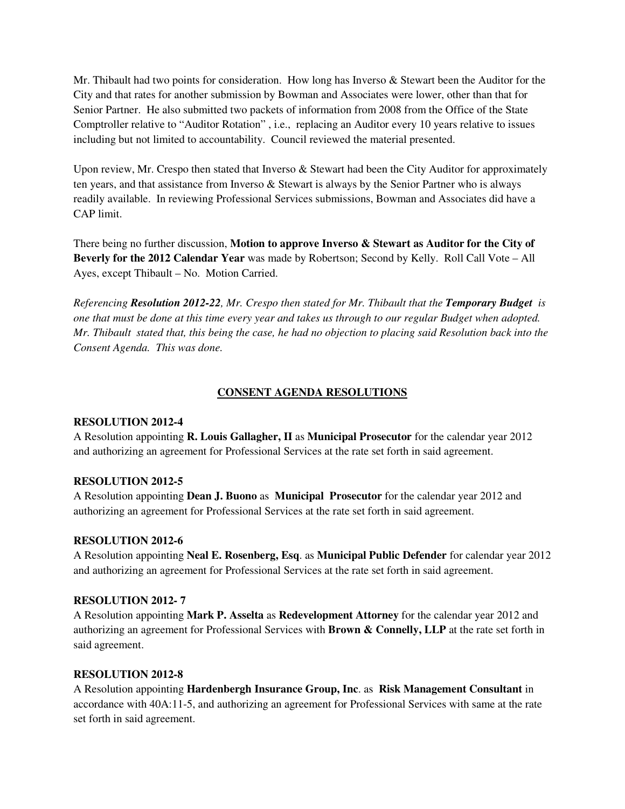Mr. Thibault had two points for consideration. How long has Inverso & Stewart been the Auditor for the City and that rates for another submission by Bowman and Associates were lower, other than that for Senior Partner. He also submitted two packets of information from 2008 from the Office of the State Comptroller relative to "Auditor Rotation" , i.e., replacing an Auditor every 10 years relative to issues including but not limited to accountability. Council reviewed the material presented.

Upon review, Mr. Crespo then stated that Inverso  $\&$  Stewart had been the City Auditor for approximately ten years, and that assistance from Inverso & Stewart is always by the Senior Partner who is always readily available. In reviewing Professional Services submissions, Bowman and Associates did have a CAP limit.

There being no further discussion, **Motion to approve Inverso & Stewart as Auditor for the City of Beverly for the 2012 Calendar Year** was made by Robertson; Second by Kelly. Roll Call Vote – All Ayes, except Thibault – No. Motion Carried.

*Referencing Resolution 2012-22, Mr. Crespo then stated for Mr. Thibault that the Temporary Budget is one that must be done at this time every year and takes us through to our regular Budget when adopted. Mr. Thibault stated that, this being the case, he had no objection to placing said Resolution back into the Consent Agenda. This was done.* 

#### **CONSENT AGENDA RESOLUTIONS**

#### **RESOLUTION 2012-4**

A Resolution appointing **R. Louis Gallagher, II** as **Municipal Prosecutor** for the calendar year 2012 and authorizing an agreement for Professional Services at the rate set forth in said agreement.

#### **RESOLUTION 2012-5**

A Resolution appointing **Dean J. Buono** as **Municipal Prosecutor** for the calendar year 2012 and authorizing an agreement for Professional Services at the rate set forth in said agreement.

#### **RESOLUTION 2012-6**

A Resolution appointing **Neal E. Rosenberg, Esq**. as **Municipal Public Defender** for calendar year 2012 and authorizing an agreement for Professional Services at the rate set forth in said agreement.

#### **RESOLUTION 2012- 7**

A Resolution appointing **Mark P. Asselta** as **Redevelopment Attorney** for the calendar year 2012 and authorizing an agreement for Professional Services with **Brown & Connelly, LLP** at the rate set forth in said agreement.

#### **RESOLUTION 2012-8**

A Resolution appointing **Hardenbergh Insurance Group, Inc**. as **Risk Management Consultant** in accordance with 40A:11-5, and authorizing an agreement for Professional Services with same at the rate set forth in said agreement.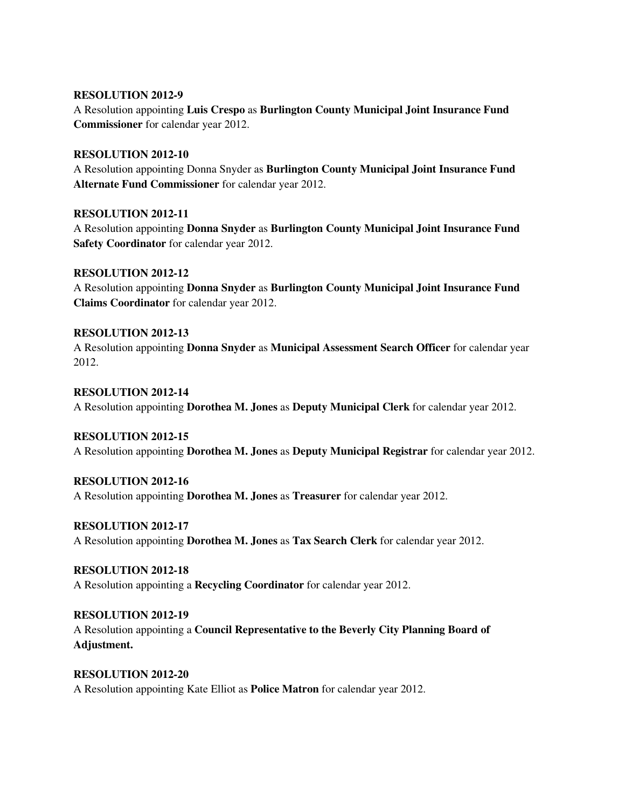#### **RESOLUTION 2012-9**

A Resolution appointing **Luis Crespo** as **Burlington County Municipal Joint Insurance Fund Commissioner** for calendar year 2012.

#### **RESOLUTION 2012-10**

A Resolution appointing Donna Snyder as **Burlington County Municipal Joint Insurance Fund Alternate Fund Commissioner** for calendar year 2012.

#### **RESOLUTION 2012-11**

A Resolution appointing **Donna Snyder** as **Burlington County Municipal Joint Insurance Fund Safety Coordinator** for calendar year 2012.

#### **RESOLUTION 2012-12**

A Resolution appointing **Donna Snyder** as **Burlington County Municipal Joint Insurance Fund Claims Coordinator** for calendar year 2012.

#### **RESOLUTION 2012-13**

A Resolution appointing **Donna Snyder** as **Municipal Assessment Search Officer** for calendar year 2012.

#### **RESOLUTION 2012-14**

A Resolution appointing **Dorothea M. Jones** as **Deputy Municipal Clerk** for calendar year 2012.

#### **RESOLUTION 2012-15**

A Resolution appointing **Dorothea M. Jones** as **Deputy Municipal Registrar** for calendar year 2012.

#### **RESOLUTION 2012-16**

A Resolution appointing **Dorothea M. Jones** as **Treasurer** for calendar year 2012.

#### **RESOLUTION 2012-17**

A Resolution appointing **Dorothea M. Jones** as **Tax Search Clerk** for calendar year 2012.

## **RESOLUTION 2012-18**

A Resolution appointing a **Recycling Coordinator** for calendar year 2012.

## **RESOLUTION 2012-19**

A Resolution appointing a **Council Representative to the Beverly City Planning Board of Adjustment.** 

## **RESOLUTION 2012-20**  A Resolution appointing Kate Elliot as **Police Matron** for calendar year 2012.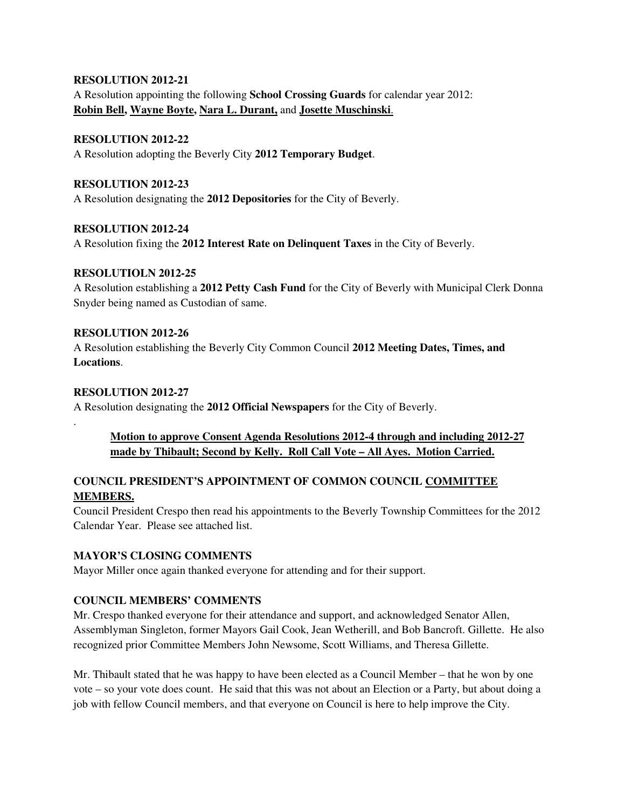#### **RESOLUTION 2012-21**

A Resolution appointing the following **School Crossing Guards** for calendar year 2012: **Robin Bell, Wayne Boyte, Nara L. Durant,** and **Josette Muschinski**.

## **RESOLUTION 2012-22**

A Resolution adopting the Beverly City **2012 Temporary Budget**.

#### **RESOLUTION 2012-23**

A Resolution designating the **2012 Depositories** for the City of Beverly.

#### **RESOLUTION 2012-24**

A Resolution fixing the **2012 Interest Rate on Delinquent Taxes** in the City of Beverly.

#### **RESOLUTIOLN 2012-25**

A Resolution establishing a **2012 Petty Cash Fund** for the City of Beverly with Municipal Clerk Donna Snyder being named as Custodian of same.

#### **RESOLUTION 2012-26**

A Resolution establishing the Beverly City Common Council **2012 Meeting Dates, Times, and Locations**.

#### **RESOLUTION 2012-27**

.

A Resolution designating the **2012 Official Newspapers** for the City of Beverly.

## **Motion to approve Consent Agenda Resolutions 2012-4 through and including 2012-27 made by Thibault; Second by Kelly. Roll Call Vote – All Ayes. Motion Carried.**

## **COUNCIL PRESIDENT'S APPOINTMENT OF COMMON COUNCIL COMMITTEE MEMBERS.**

Council President Crespo then read his appointments to the Beverly Township Committees for the 2012 Calendar Year. Please see attached list.

## **MAYOR'S CLOSING COMMENTS**

Mayor Miller once again thanked everyone for attending and for their support.

## **COUNCIL MEMBERS' COMMENTS**

Mr. Crespo thanked everyone for their attendance and support, and acknowledged Senator Allen, Assemblyman Singleton, former Mayors Gail Cook, Jean Wetherill, and Bob Bancroft. Gillette. He also recognized prior Committee Members John Newsome, Scott Williams, and Theresa Gillette.

Mr. Thibault stated that he was happy to have been elected as a Council Member – that he won by one vote – so your vote does count. He said that this was not about an Election or a Party, but about doing a job with fellow Council members, and that everyone on Council is here to help improve the City.